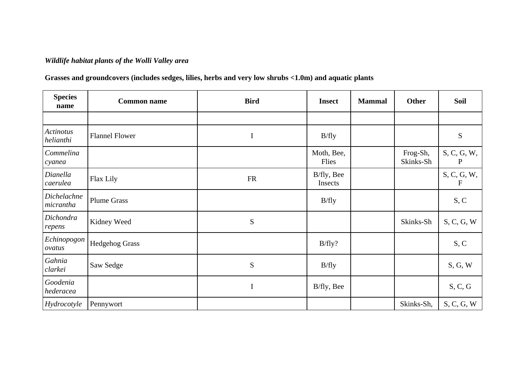## *Wildlife habitat plants of the Wolli Valley area*

## **Grasses and groundcovers (includes sedges, lilies, herbs and very low shrubs <1.0m) and aquatic plants**

| <b>Species</b><br>name        | <b>Common name</b>    | <b>Bird</b> | <b>Insect</b>         | <b>Mammal</b> | <b>Other</b>          | <b>Soil</b>                 |
|-------------------------------|-----------------------|-------------|-----------------------|---------------|-----------------------|-----------------------------|
|                               |                       |             |                       |               |                       |                             |
| <b>Actinotus</b><br>helianthi | <b>Flannel Flower</b> | $\bf I$     | B/fly                 |               |                       | S                           |
| Commelina<br>cyanea           |                       |             | Moth, Bee,<br>Flies   |               | Frog-Sh,<br>Skinks-Sh | S, C, G, W,<br>P            |
| Dianella<br>caerulea          | Flax Lily             | <b>FR</b>   | B/fly, Bee<br>Insects |               |                       | S, C, G, W,<br>$\mathbf{F}$ |
| Dichelachne<br>micrantha      | <b>Plume Grass</b>    |             | B/fly                 |               |                       | S, C                        |
| Dichondra<br>repens           | Kidney Weed           | ${\bf S}$   |                       |               | Skinks-Sh             | S, C, G, W                  |
| Echinopogon<br>ovatus         | <b>Hedgehog Grass</b> |             | B/fly?                |               |                       | S, C                        |
| Gahnia<br>clarkei             | Saw Sedge             | ${\bf S}$   | B/fly                 |               |                       | S, G, W                     |
| Goodenia<br>hederacea         |                       | I           | B/fly, Bee            |               |                       | S, C, G                     |
| Hydrocotyle                   | Pennywort             |             |                       |               | Skinks-Sh,            | S, C, G, W                  |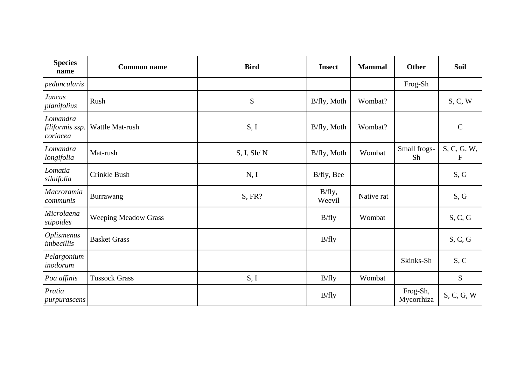| <b>Species</b><br>name                  | <b>Common name</b>          | <b>Bird</b> | <b>Insect</b>    | <b>Mammal</b> | <b>Other</b>           | Soil                        |
|-----------------------------------------|-----------------------------|-------------|------------------|---------------|------------------------|-----------------------------|
| peduncularis                            |                             |             |                  |               | Frog-Sh                |                             |
| <b>Juncus</b><br>planifolius            | Rush                        | S           | B/fly, Moth      | Wombat?       |                        | S, C, W                     |
| Lomandra<br>filiformis ssp.<br>coriacea | Wattle Mat-rush             | S, I        | B/fly, Moth      | Wombat?       |                        | $\mathbf C$                 |
| Lomandra<br>longifolia                  | Mat-rush                    | S, I, Sh/N  | B/fly, Moth      | Wombat        | Small frogs-<br>Sh     | S, C, G, W,<br>$\mathbf{F}$ |
| Lomatia<br>silaifolia                   | Crinkle Bush                | N, I        | B/fly, Bee       |               |                        | S, G                        |
| <b>Macrozamia</b><br>communis           | Burrawang                   | S, FR?      | B/fly,<br>Weevil | Native rat    |                        | S, G                        |
| Microlaena<br>stipoides                 | <b>Weeping Meadow Grass</b> |             | B/fly            | Wombat        |                        | S, C, G                     |
| <b>Oplismenus</b><br>imbecillis         | <b>Basket Grass</b>         |             | B/fly            |               |                        | S, C, G                     |
| Pelargonium<br>inodorum                 |                             |             |                  |               | Skinks-Sh              | S, C                        |
| Poa affinis                             | <b>Tussock Grass</b>        | S, I        | B/fly            | Wombat        |                        | S                           |
| Pratia<br>purpurascens                  |                             |             | B/fly            |               | Frog-Sh,<br>Mycorrhiza | S, C, G, W                  |